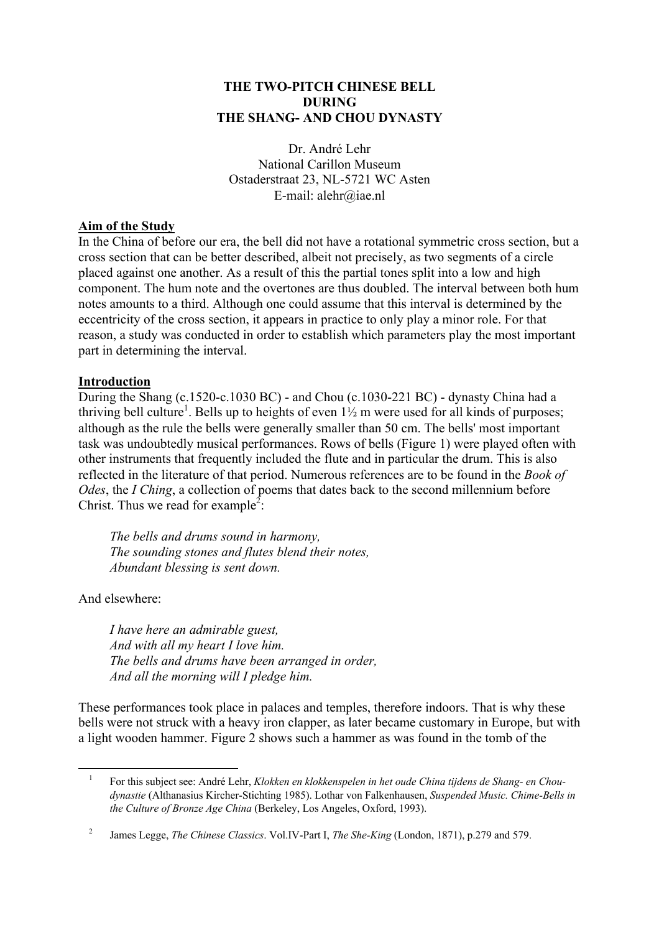#### **THE TWO-PITCH CHINESE BELL DURING THE SHANG- AND CHOU DYNASTY**

Dr. André Lehr National Carillon Museum Ostaderstraat 23, NL-5721 WC Asten E-mail: alehr@iae.nl

#### **Aim of the Study**

In the China of before our era, the bell did not have a rotational symmetric cross section, but a cross section that can be better described, albeit not precisely, as two segments of a circle placed against one another. As a result of this the partial tones split into a low and high component. The hum note and the overtones are thus doubled. The interval between both hum notes amounts to a third. Although one could assume that this interval is determined by the eccentricity of the cross section, it appears in practice to only play a minor role. For that reason, a study was conducted in order to establish which parameters play the most important part in determining the interval.

#### **Introduction**

During the Shang (c.1520-c.1030 BC) - and Chou (c.1030-221 BC) - dynasty China had a thriving bell culture<sup>1</sup>. Bells up to heights of even  $1\frac{1}{2}$  m were used for all kinds of purposes; although as the rule the bells were generally smaller than 50 cm. The bells' most important task was undoubtedly musical performances. Rows of bells (Figure 1) were played often with other instruments that frequently included the flute and in particular the drum. This is also reflected in the literature of that period. Numerous references are to be found in the *Book of Odes*, the *I Ching*, a collection of poems that dates back to the second millennium before Christ. Thus we read for example<sup>2</sup>:

*The bells and drums sound in harmony, The sounding stones and flutes blend their notes, Abundant blessing is sent down.*

And elsewhere:

 $\overline{a}$ 

*I have here an admirable guest, And with all my heart I love him. The bells and drums have been arranged in order, And all the morning will I pledge him.*

These performances took place in palaces and temples, therefore indoors. That is why these bells were not struck with a heavy iron clapper, as later became customary in Europe, but with a light wooden hammer. Figure 2 shows such a hammer as was found in the tomb of the

<sup>&</sup>lt;sup>1</sup> For this subject see: André Lehr, *Klokken en klokkenspelen in het oude China tijdens de Shang- en Choudynastie* (Althanasius Kircher-Stichting 1985). Lothar von Falkenhausen, *Suspended Music. Chime-Bells in the Culture of Bronze Age China* (Berkeley, Los Angeles, Oxford, 1993).

<sup>2</sup> James Legge, *The Chinese Classics*. Vol.IV-Part I, *The She-King* (London, 1871), p.279 and 579.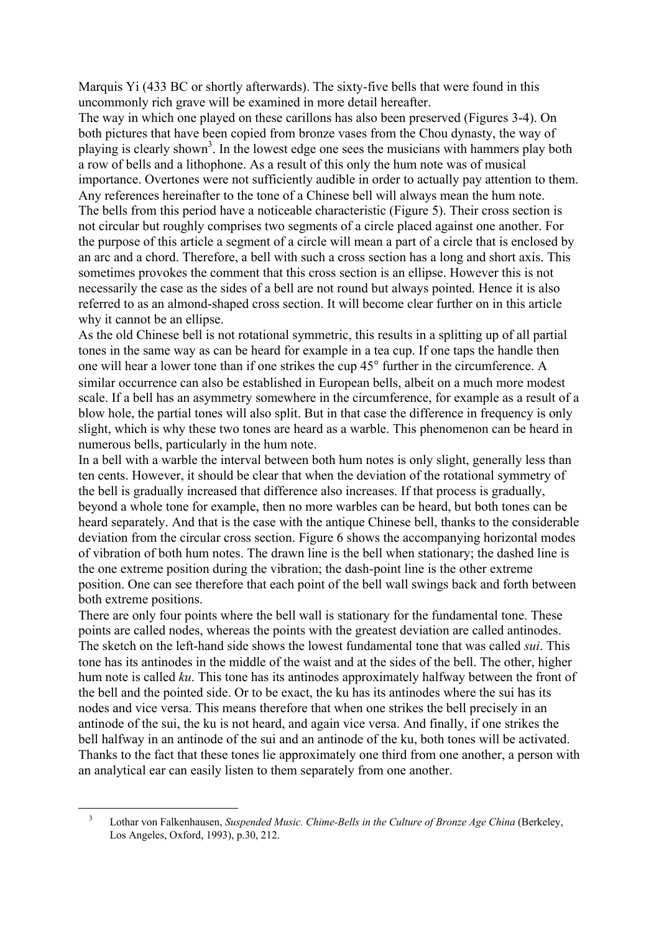Marquis Yi (433 BC or shortly afterwards). The sixty-five bells that were found in this uncommonly rich grave will be examined in more detail hereafter.

The way in which one played on these carillons has also been preserved (Figures 3-4). On both pictures that have been copied from bronze vases from the Chou dynasty, the way of playing is clearly shown<sup>3</sup>. In the lowest edge one sees the musicians with hammers play both a row of bells and a lithophone. As a result of this only the hum note was of musical importance. Overtones were not sufficiently audible in order to actually pay attention to them. Any references hereinafter to the tone of a Chinese bell will always mean the hum note. The bells from this period have a noticeable characteristic (Figure 5). Their cross section is not circular but roughly comprises two segments of a circle placed against one another. For the purpose of this article a segment of a circle will mean a part of a circle that is enclosed by an arc and a chord. Therefore, a bell with such a cross section has a long and short axis. This sometimes provokes the comment that this cross section is an ellipse. However this is not necessarily the case as the sides of a bell are not round but always pointed. Hence it is also referred to as an almond-shaped cross section. It will become clear further on in this article why it cannot be an ellipse.

As the old Chinese bell is not rotational symmetric, this results in a splitting up of all partial tones in the same way as can be heard for example in a tea cup. If one taps the handle then one will hear a lower tone than if one strikes the cup 45° further in the circumference. A similar occurrence can also be established in European bells, albeit on a much more modest scale. If a bell has an asymmetry somewhere in the circumference, for example as a result of a blow hole, the partial tones will also split. But in that case the difference in frequency is only slight, which is why these two tones are heard as a warble. This phenomenon can be heard in numerous bells, particularly in the hum note.

In a bell with a warble the interval between both hum notes is only slight, generally less than ten cents. However, it should be clear that when the deviation of the rotational symmetry of the bell is gradually increased that difference also increases. If that process is gradually, beyond a whole tone for example, then no more warbles can be heard, but both tones can be heard separately. And that is the case with the antique Chinese bell, thanks to the considerable deviation from the circular cross section. Figure 6 shows the accompanying horizontal modes of vibration of both hum notes. The drawn line is the bell when stationary; the dashed line is the one extreme position during the vibration; the dash-point line is the other extreme position. One can see therefore that each point of the bell wall swings back and forth between both extreme positions.

There are only four points where the bell wall is stationary for the fundamental tone. These points are called nodes, whereas the points with the greatest deviation are called antinodes. The sketch on the left-hand side shows the lowest fundamental tone that was called *sui*. This tone has its antinodes in the middle of the waist and at the sides of the bell. The other, higher hum note is called *ku*. This tone has its antinodes approximately halfway between the front of the bell and the pointed side. Or to be exact, the ku has its antinodes where the sui has its nodes and vice versa. This means therefore that when one strikes the bell precisely in an antinode of the sui, the ku is not heard, and again vice versa. And finally, if one strikes the bell halfway in an antinode of the sui and an antinode of the ku, both tones will be activated. Thanks to the fact that these tones lie approximately one third from one another, a person with an analytical ear can easily listen to them separately from one another.

 $\overline{a}$ 

<sup>3</sup> Lothar von Falkenhausen, *Suspended Music. Chime-Bells in the Culture of Bronze Age China* (Berkeley, Los Angeles, Oxford, 1993), p.30, 212.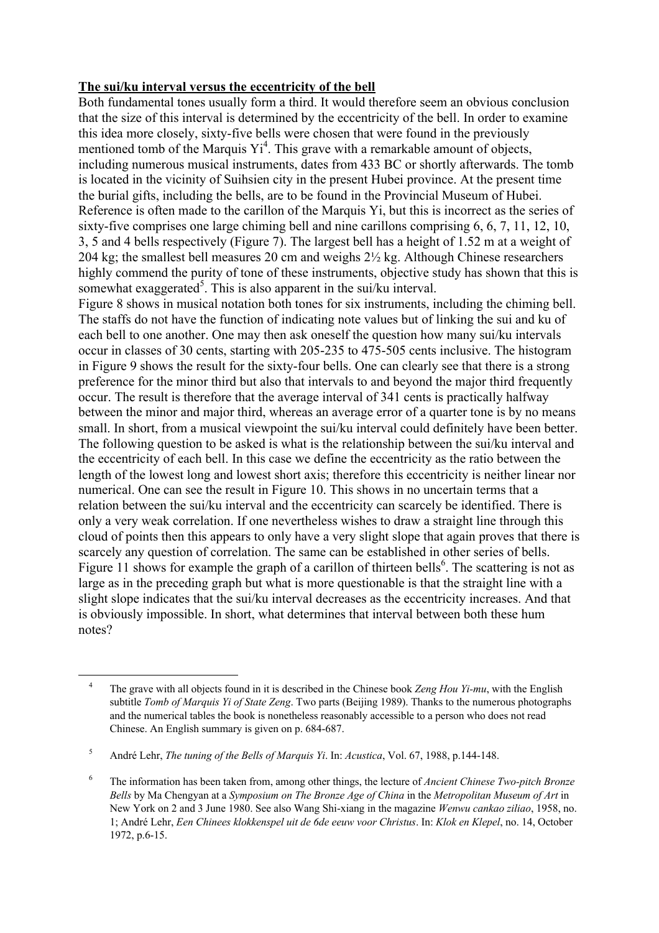### **The sui/ku interval versus the eccentricity of the bell**

Both fundamental tones usually form a third. It would therefore seem an obvious conclusion that the size of this interval is determined by the eccentricity of the bell. In order to examine this idea more closely, sixty-five bells were chosen that were found in the previously mentioned tomb of the Marquis  $Y_i^4$ . This grave with a remarkable amount of objects, including numerous musical instruments, dates from 433 BC or shortly afterwards. The tomb is located in the vicinity of Suihsien city in the present Hubei province. At the present time the burial gifts, including the bells, are to be found in the Provincial Museum of Hubei. Reference is often made to the carillon of the Marquis Yi, but this is incorrect as the series of sixty-five comprises one large chiming bell and nine carillons comprising 6, 6, 7, 11, 12, 10, 3, 5 and 4 bells respectively (Figure 7). The largest bell has a height of 1.52 m at a weight of 204 kg; the smallest bell measures 20 cm and weighs 2½ kg. Although Chinese researchers highly commend the purity of tone of these instruments, objective study has shown that this is somewhat exaggerated<sup>5</sup>. This is also apparent in the sui/ku interval.

Figure 8 shows in musical notation both tones for six instruments, including the chiming bell. The staffs do not have the function of indicating note values but of linking the sui and ku of each bell to one another. One may then ask oneself the question how many sui/ku intervals occur in classes of 30 cents, starting with 205-235 to 475-505 cents inclusive. The histogram in Figure 9 shows the result for the sixty-four bells. One can clearly see that there is a strong preference for the minor third but also that intervals to and beyond the major third frequently occur. The result is therefore that the average interval of 341 cents is practically halfway between the minor and major third, whereas an average error of a quarter tone is by no means small. In short, from a musical viewpoint the sui/ku interval could definitely have been better. The following question to be asked is what is the relationship between the sui/ku interval and the eccentricity of each bell. In this case we define the eccentricity as the ratio between the length of the lowest long and lowest short axis; therefore this eccentricity is neither linear nor numerical. One can see the result in Figure 10. This shows in no uncertain terms that a relation between the sui/ku interval and the eccentricity can scarcely be identified. There is only a very weak correlation. If one nevertheless wishes to draw a straight line through this cloud of points then this appears to only have a very slight slope that again proves that there is scarcely any question of correlation. The same can be established in other series of bells. Figure 11 shows for example the graph of a carillon of thirteen bells<sup>6</sup>. The scattering is not as large as in the preceding graph but what is more questionable is that the straight line with a slight slope indicates that the sui/ku interval decreases as the eccentricity increases. And that is obviously impossible. In short, what determines that interval between both these hum notes?

 $\overline{a}$ 

<sup>&</sup>lt;sup>4</sup> The grave with all objects found in it is described in the Chinese book *Zeng Hou Yi-mu*, with the English subtitle *Tomb of Marquis Yi of State Zeng*. Two parts (Beijing 1989). Thanks to the numerous photographs and the numerical tables the book is nonetheless reasonably accessible to a person who does not read Chinese. An English summary is given on p. 684-687.

<sup>5</sup> André Lehr, *The tuning of the Bells of Marquis Yi*. In: *Acustica*, Vol. 67, 1988, p.144-148.

<sup>6</sup> The information has been taken from, among other things, the lecture of *Ancient Chinese Two-pitch Bronze Bells* by Ma Chengyan at a *Symposium on The Bronze Age of China* in the *Metropolitan Museum of Art* in New York on 2 and 3 June 1980. See also Wang Shi-xiang in the magazine *Wenwu cankao ziliao*, 1958, no. 1; André Lehr, *Een Chinees klokkenspel uit de 6de eeuw voor Christus*. In: *Klok en Klepel*, no. 14, October 1972, p.6-15.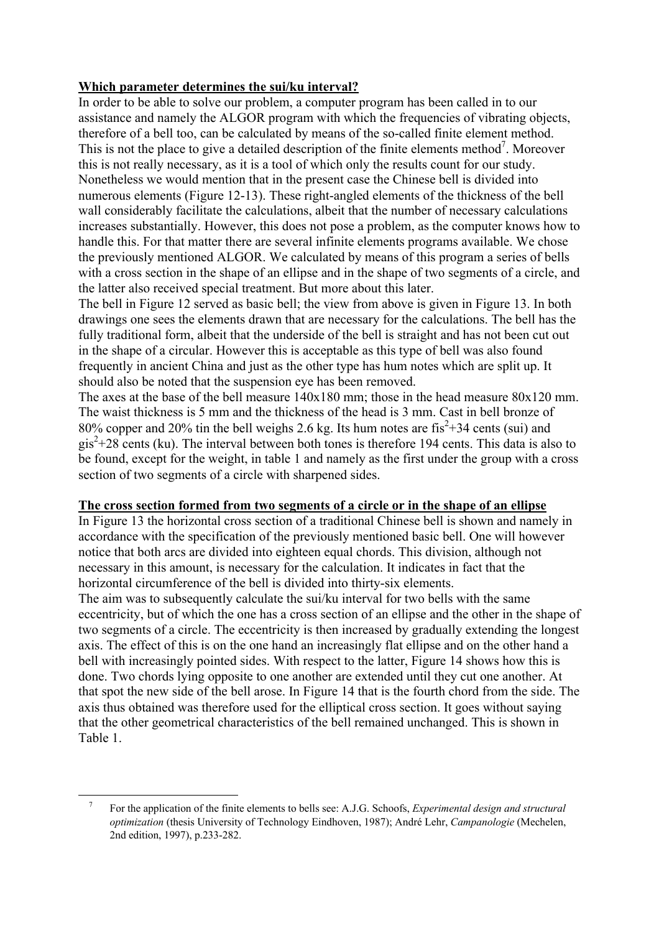## **Which parameter determines the sui/ku interval?**

In order to be able to solve our problem, a computer program has been called in to our assistance and namely the ALGOR program with which the frequencies of vibrating objects, therefore of a bell too, can be calculated by means of the so-called finite element method. This is not the place to give a detailed description of the finite elements method<sup>7</sup>. Moreover this is not really necessary, as it is a tool of which only the results count for our study. Nonetheless we would mention that in the present case the Chinese bell is divided into numerous elements (Figure 12-13). These right-angled elements of the thickness of the bell wall considerably facilitate the calculations, albeit that the number of necessary calculations increases substantially. However, this does not pose a problem, as the computer knows how to handle this. For that matter there are several infinite elements programs available. We chose the previously mentioned ALGOR. We calculated by means of this program a series of bells with a cross section in the shape of an ellipse and in the shape of two segments of a circle, and the latter also received special treatment. But more about this later.

The bell in Figure 12 served as basic bell; the view from above is given in Figure 13. In both drawings one sees the elements drawn that are necessary for the calculations. The bell has the fully traditional form, albeit that the underside of the bell is straight and has not been cut out in the shape of a circular. However this is acceptable as this type of bell was also found frequently in ancient China and just as the other type has hum notes which are split up. It should also be noted that the suspension eye has been removed.

The axes at the base of the bell measure  $140x180$  mm; those in the head measure  $80x120$  mm. The waist thickness is 5 mm and the thickness of the head is 3 mm. Cast in bell bronze of 80% copper and 20% tin the bell weighs 2.6 kg. Its hum notes are  $\text{fis}^2 + 34 \text{ cents (sui)}$  and  $gis^{2}+28$  cents (ku). The interval between both tones is therefore 194 cents. This data is also to be found, except for the weight, in table 1 and namely as the first under the group with a cross section of two segments of a circle with sharpened sides.

#### **The cross section formed from two segments of a circle or in the shape of an ellipse**

In Figure 13 the horizontal cross section of a traditional Chinese bell is shown and namely in accordance with the specification of the previously mentioned basic bell. One will however notice that both arcs are divided into eighteen equal chords. This division, although not necessary in this amount, is necessary for the calculation. It indicates in fact that the horizontal circumference of the bell is divided into thirty-six elements.

The aim was to subsequently calculate the sui/ku interval for two bells with the same eccentricity, but of which the one has a cross section of an ellipse and the other in the shape of two segments of a circle. The eccentricity is then increased by gradually extending the longest axis. The effect of this is on the one hand an increasingly flat ellipse and on the other hand a bell with increasingly pointed sides. With respect to the latter, Figure 14 shows how this is done. Two chords lying opposite to one another are extended until they cut one another. At that spot the new side of the bell arose. In Figure 14 that is the fourth chord from the side. The axis thus obtained was therefore used for the elliptical cross section. It goes without saying that the other geometrical characteristics of the bell remained unchanged. This is shown in Table 1.

 $\overline{a}$ 

<sup>7</sup> For the application of the finite elements to bells see: A.J.G. Schoofs, *Experimental design and structural optimization* (thesis University of Technology Eindhoven, 1987); André Lehr, *Campanologie* (Mechelen, 2nd edition, 1997), p.233-282.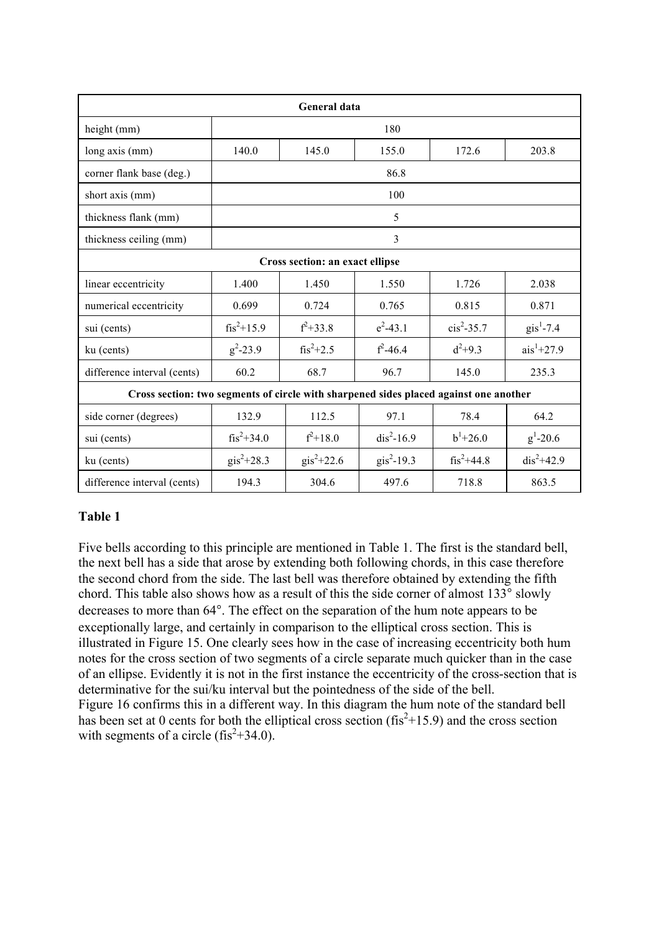| <b>General data</b>                                                                   |                       |                       |                      |                |                     |  |  |  |
|---------------------------------------------------------------------------------------|-----------------------|-----------------------|----------------------|----------------|---------------------|--|--|--|
| height (mm)                                                                           | 180                   |                       |                      |                |                     |  |  |  |
| long axis (mm)                                                                        | 140.0                 | 145.0                 | 155.0                | 172.6          | 203.8               |  |  |  |
| corner flank base (deg.)                                                              | 86.8                  |                       |                      |                |                     |  |  |  |
| short axis (mm)                                                                       | 100                   |                       |                      |                |                     |  |  |  |
| thickness flank (mm)                                                                  | 5                     |                       |                      |                |                     |  |  |  |
| thickness ceiling (mm)                                                                | $\overline{3}$        |                       |                      |                |                     |  |  |  |
| Cross section: an exact ellipse                                                       |                       |                       |                      |                |                     |  |  |  |
| linear eccentricity                                                                   | 1.400                 | 1.450                 | 1.550                | 1.726          | 2.038               |  |  |  |
| numerical eccentricity                                                                | 0.699                 | 0.724                 | 0.765                | 0.815          | 0.871               |  |  |  |
| sui (cents)                                                                           | $\text{fis}^2$ +15.9  | $f^2 + 33.8$          | $e^2 - 43.1$         | $cis^2 - 35.7$ | $\text{gis}^1$ -7.4 |  |  |  |
| ku (cents)                                                                            | $g^2 - 23.9$          | $fis^2+2.5$           | $f^2 - 46.4$         | $d^2+9.3$      | $ais1+27.9$         |  |  |  |
| difference interval (cents)                                                           | 60.2                  | 68.7                  | 96.7                 | 145.0          | 235.3               |  |  |  |
| Cross section: two segments of circle with sharpened sides placed against one another |                       |                       |                      |                |                     |  |  |  |
| side corner (degrees)                                                                 | 132.9                 | 112.5                 | 97.1                 | 78.4           | 64.2                |  |  |  |
| sui (cents)                                                                           | $fis^2+34.0$          | $f^2 + 18.0$          | $dis^2-16.9$         | $b^1 + 26.0$   | $g^1 - 20.6$        |  |  |  |
| ku (cents)                                                                            | $\text{gis}^2 + 28.3$ | $\text{gis}^2 + 22.6$ | $\text{gis}^2$ -19.3 | $fis^2+44.8$   | $dis^2 + 42.9$      |  |  |  |
| difference interval (cents)                                                           | 194.3                 | 304.6                 | 497.6                | 718.8          | 863.5               |  |  |  |

# **Table 1**

Five bells according to this principle are mentioned in Table 1. The first is the standard bell, the next bell has a side that arose by extending both following chords, in this case therefore the second chord from the side. The last bell was therefore obtained by extending the fifth chord. This table also shows how as a result of this the side corner of almost 133° slowly decreases to more than 64°. The effect on the separation of the hum note appears to be exceptionally large, and certainly in comparison to the elliptical cross section. This is illustrated in Figure 15. One clearly sees how in the case of increasing eccentricity both hum notes for the cross section of two segments of a circle separate much quicker than in the case of an ellipse. Evidently it is not in the first instance the eccentricity of the cross-section that is determinative for the sui/ku interval but the pointedness of the side of the bell. Figure 16 confirms this in a different way. In this diagram the hum note of the standard bell has been set at 0 cents for both the elliptical cross section ( $\text{fis}^2+15.9$ ) and the cross section with segments of a circle  $(fis^2+34.0)$ .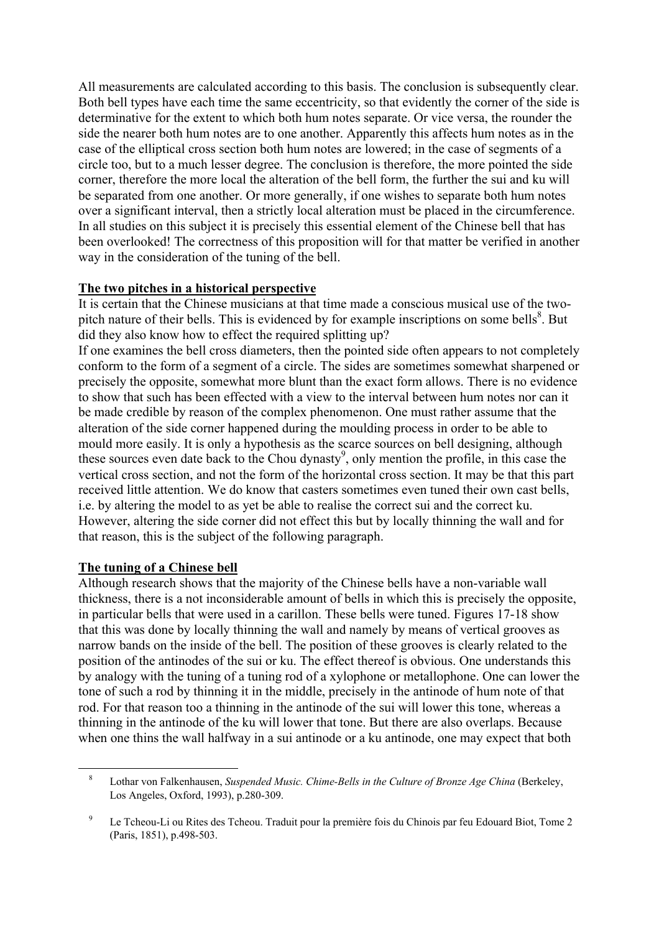All measurements are calculated according to this basis. The conclusion is subsequently clear. Both bell types have each time the same eccentricity, so that evidently the corner of the side is determinative for the extent to which both hum notes separate. Or vice versa, the rounder the side the nearer both hum notes are to one another. Apparently this affects hum notes as in the case of the elliptical cross section both hum notes are lowered; in the case of segments of a circle too, but to a much lesser degree. The conclusion is therefore, the more pointed the side corner, therefore the more local the alteration of the bell form, the further the sui and ku will be separated from one another. Or more generally, if one wishes to separate both hum notes over a significant interval, then a strictly local alteration must be placed in the circumference. In all studies on this subject it is precisely this essential element of the Chinese bell that has been overlooked! The correctness of this proposition will for that matter be verified in another way in the consideration of the tuning of the bell.

## **The two pitches in a historical perspective**

It is certain that the Chinese musicians at that time made a conscious musical use of the twopitch nature of their bells. This is evidenced by for example inscriptions on some bells $\delta$ . But did they also know how to effect the required splitting up?

If one examines the bell cross diameters, then the pointed side often appears to not completely conform to the form of a segment of a circle. The sides are sometimes somewhat sharpened or precisely the opposite, somewhat more blunt than the exact form allows. There is no evidence to show that such has been effected with a view to the interval between hum notes nor can it be made credible by reason of the complex phenomenon. One must rather assume that the alteration of the side corner happened during the moulding process in order to be able to mould more easily. It is only a hypothesis as the scarce sources on bell designing, although these sources even date back to the Chou dynasty<sup>9</sup>, only mention the profile, in this case the vertical cross section, and not the form of the horizontal cross section. It may be that this part received little attention. We do know that casters sometimes even tuned their own cast bells, i.e. by altering the model to as yet be able to realise the correct sui and the correct ku. However, altering the side corner did not effect this but by locally thinning the wall and for that reason, this is the subject of the following paragraph.

#### **The tuning of a Chinese bell**

 $\overline{a}$ 

Although research shows that the majority of the Chinese bells have a non-variable wall thickness, there is a not inconsiderable amount of bells in which this is precisely the opposite, in particular bells that were used in a carillon. These bells were tuned. Figures 17-18 show that this was done by locally thinning the wall and namely by means of vertical grooves as narrow bands on the inside of the bell. The position of these grooves is clearly related to the position of the antinodes of the sui or ku. The effect thereof is obvious. One understands this by analogy with the tuning of a tuning rod of a xylophone or metallophone. One can lower the tone of such a rod by thinning it in the middle, precisely in the antinode of hum note of that rod. For that reason too a thinning in the antinode of the sui will lower this tone, whereas a thinning in the antinode of the ku will lower that tone. But there are also overlaps. Because when one thins the wall halfway in a sui antinode or a ku antinode, one may expect that both

<sup>8</sup> Lothar von Falkenhausen, *Suspended Music. Chime-Bells in the Culture of Bronze Age China* (Berkeley, Los Angeles, Oxford, 1993), p.280-309.

<sup>9</sup> Le Tcheou-Li ou Rites des Tcheou. Traduit pour la première fois du Chinois par feu Edouard Biot, Tome 2 (Paris, 1851), p.498-503.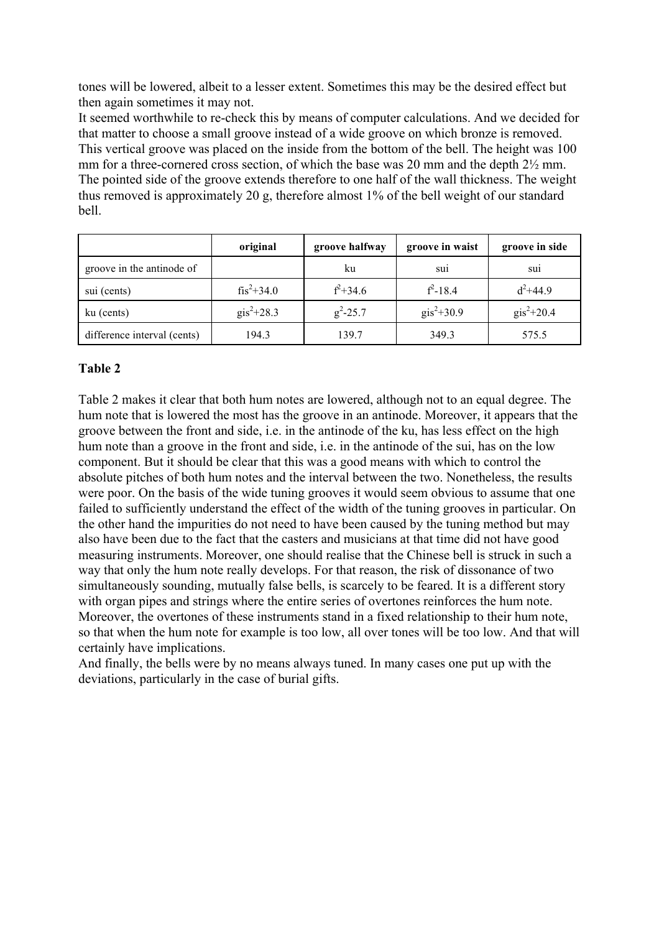tones will be lowered, albeit to a lesser extent. Sometimes this may be the desired effect but then again sometimes it may not.

It seemed worthwhile to re-check this by means of computer calculations. And we decided for that matter to choose a small groove instead of a wide groove on which bronze is removed. This vertical groove was placed on the inside from the bottom of the bell. The height was 100 mm for a three-cornered cross section, of which the base was 20 mm and the depth  $2\frac{1}{2}$  mm. The pointed side of the groove extends therefore to one half of the wall thickness. The weight thus removed is approximately 20 g, therefore almost 1% of the bell weight of our standard bell.

|                             | original              | groove halfway | groove in waist       | groove in side        |
|-----------------------------|-----------------------|----------------|-----------------------|-----------------------|
| groove in the antinode of   |                       | ku             | sui                   | sui                   |
| sui (cents)                 | $\text{fis}^2 + 34.0$ | $f^2 + 34.6$   | $f^2 - 18.4$          | $d^2 + 44.9$          |
| ku (cents)                  | $\text{gis}^2 + 28.3$ | $g^2 - 25.7$   | $\text{gis}^2 + 30.9$ | $\text{gis}^2 + 20.4$ |
| difference interval (cents) | 194.3                 | 139.7          | 349.3                 | 575.5                 |

## **Table 2**

Table 2 makes it clear that both hum notes are lowered, although not to an equal degree. The hum note that is lowered the most has the groove in an antinode. Moreover, it appears that the groove between the front and side, i.e. in the antinode of the ku, has less effect on the high hum note than a groove in the front and side, i.e. in the antinode of the sui, has on the low component. But it should be clear that this was a good means with which to control the absolute pitches of both hum notes and the interval between the two. Nonetheless, the results were poor. On the basis of the wide tuning grooves it would seem obvious to assume that one failed to sufficiently understand the effect of the width of the tuning grooves in particular. On the other hand the impurities do not need to have been caused by the tuning method but may also have been due to the fact that the casters and musicians at that time did not have good measuring instruments. Moreover, one should realise that the Chinese bell is struck in such a way that only the hum note really develops. For that reason, the risk of dissonance of two simultaneously sounding, mutually false bells, is scarcely to be feared. It is a different story with organ pipes and strings where the entire series of overtones reinforces the hum note. Moreover, the overtones of these instruments stand in a fixed relationship to their hum note, so that when the hum note for example is too low, all over tones will be too low. And that will certainly have implications.

And finally, the bells were by no means always tuned. In many cases one put up with the deviations, particularly in the case of burial gifts.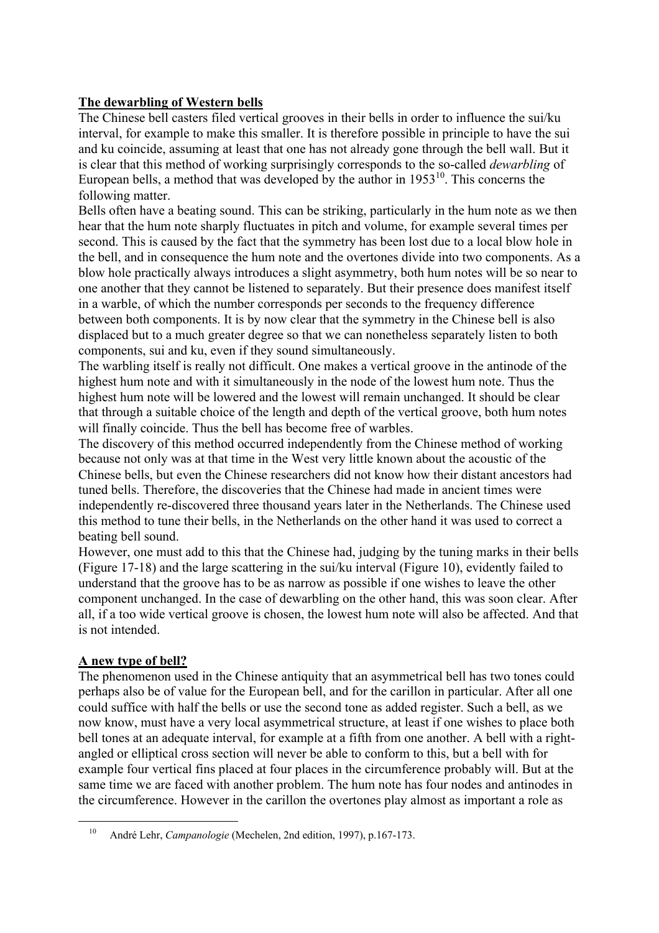# **The dewarbling of Western bells**

The Chinese bell casters filed vertical grooves in their bells in order to influence the sui/ku interval, for example to make this smaller. It is therefore possible in principle to have the sui and ku coincide, assuming at least that one has not already gone through the bell wall. But it is clear that this method of working surprisingly corresponds to the so-called *dewarbling* of European bells, a method that was developed by the author in  $1953^{10}$ . This concerns the following matter.

Bells often have a beating sound. This can be striking, particularly in the hum note as we then hear that the hum note sharply fluctuates in pitch and volume, for example several times per second. This is caused by the fact that the symmetry has been lost due to a local blow hole in the bell, and in consequence the hum note and the overtones divide into two components. As a blow hole practically always introduces a slight asymmetry, both hum notes will be so near to one another that they cannot be listened to separately. But their presence does manifest itself in a warble, of which the number corresponds per seconds to the frequency difference between both components. It is by now clear that the symmetry in the Chinese bell is also displaced but to a much greater degree so that we can nonetheless separately listen to both components, sui and ku, even if they sound simultaneously.

The warbling itself is really not difficult. One makes a vertical groove in the antinode of the highest hum note and with it simultaneously in the node of the lowest hum note. Thus the highest hum note will be lowered and the lowest will remain unchanged. It should be clear that through a suitable choice of the length and depth of the vertical groove, both hum notes will finally coincide. Thus the bell has become free of warbles.

The discovery of this method occurred independently from the Chinese method of working because not only was at that time in the West very little known about the acoustic of the Chinese bells, but even the Chinese researchers did not know how their distant ancestors had tuned bells. Therefore, the discoveries that the Chinese had made in ancient times were independently re-discovered three thousand years later in the Netherlands. The Chinese used this method to tune their bells, in the Netherlands on the other hand it was used to correct a beating bell sound.

However, one must add to this that the Chinese had, judging by the tuning marks in their bells (Figure 17-18) and the large scattering in the sui/ku interval (Figure 10), evidently failed to understand that the groove has to be as narrow as possible if one wishes to leave the other component unchanged. In the case of dewarbling on the other hand, this was soon clear. After all, if a too wide vertical groove is chosen, the lowest hum note will also be affected. And that is not intended.

# **A new type of bell?**

 $\overline{a}$ 

The phenomenon used in the Chinese antiquity that an asymmetrical bell has two tones could perhaps also be of value for the European bell, and for the carillon in particular. After all one could suffice with half the bells or use the second tone as added register. Such a bell, as we now know, must have a very local asymmetrical structure, at least if one wishes to place both bell tones at an adequate interval, for example at a fifth from one another. A bell with a rightangled or elliptical cross section will never be able to conform to this, but a bell with for example four vertical fins placed at four places in the circumference probably will. But at the same time we are faced with another problem. The hum note has four nodes and antinodes in the circumference. However in the carillon the overtones play almost as important a role as

<sup>10</sup> André Lehr, *Campanologie* (Mechelen, 2nd edition, 1997), p.167-173.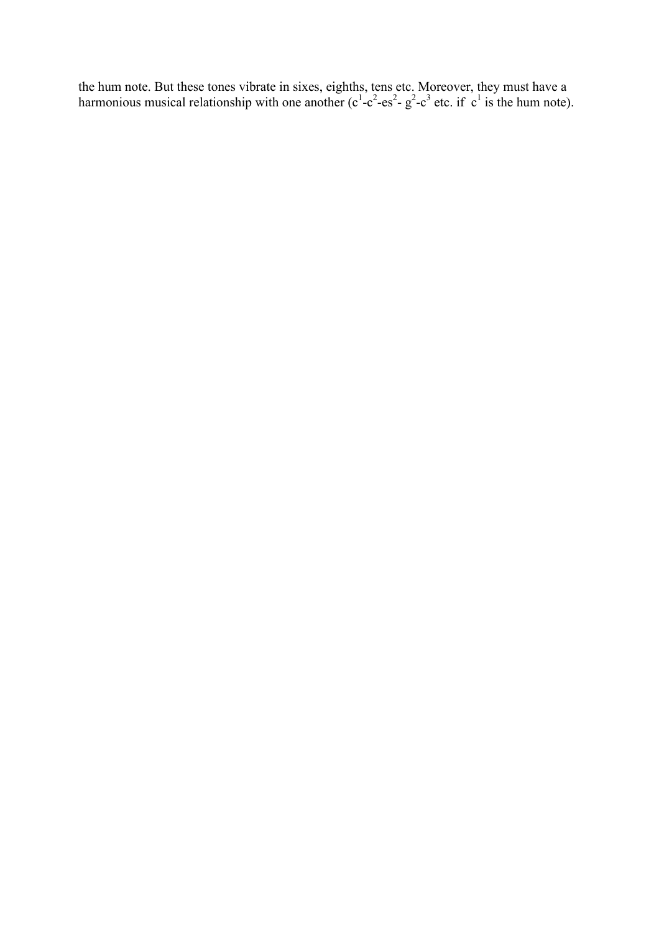the hum note. But these tones vibrate in sixes, eighths, tens etc. Moreover, they must have a harmonious musical relationship with one another  $(c^1 - c^2 - es^2 - g^2 - c^3$  etc. if  $c^1$  is the hum note).